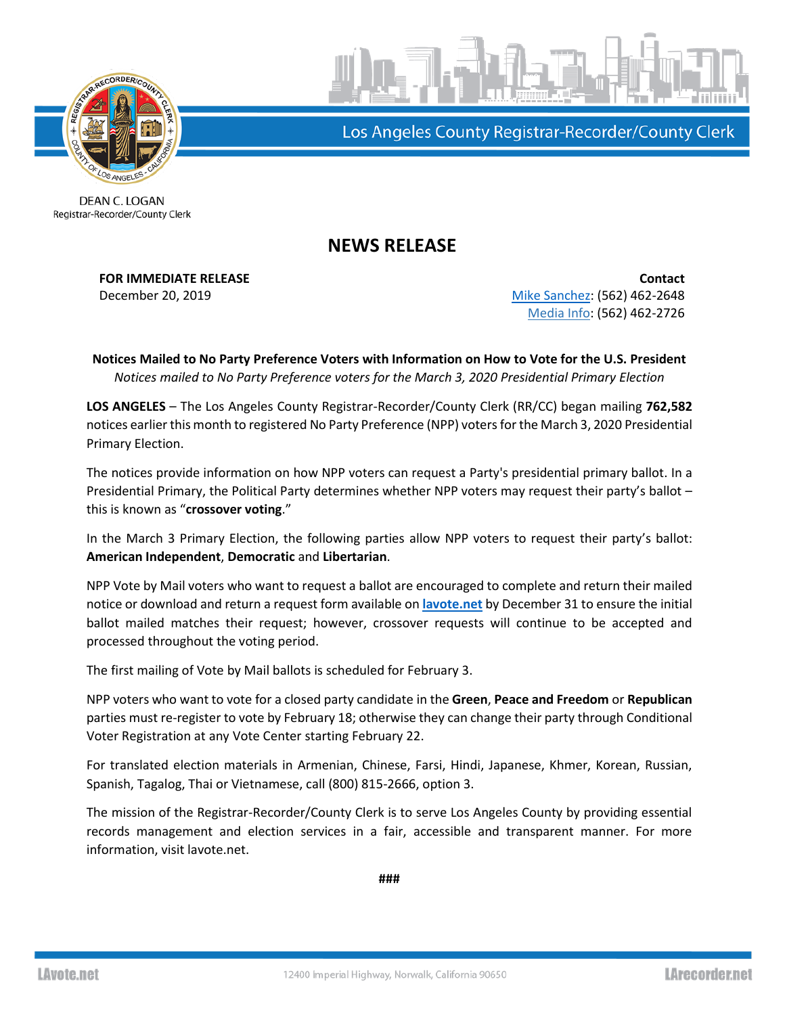

Los Angeles County Registrar-Recorder/County Clerk

DEAN C. LOGAN Registrar-Recorder/County Clerk

## **NEWS RELEASE**

**FOR IMMEDIATE RELEASE Contact** December 20, 2019 **[Mike Sanchez:](mailto:msanchez@rrcc.lacounty.gov)** (562) 462-2648 Media Info: (562) 462-2726

**Notices Mailed to No Party Preference Voters with Information on How to Vote for the U.S. President** *Notices mailed to No Party Preference voters for the March 3, 2020 Presidential Primary Election*

**LOS ANGELES** – The Los Angeles County Registrar-Recorder/County Clerk (RR/CC) began mailing **762,582** notices earlier this month to registered No Party Preference (NPP) voters for the March 3, 2020 Presidential Primary Election.

The notices provide information on how NPP voters can request a Party's presidential primary ballot. In a Presidential Primary, the Political Party determines whether NPP voters may request their party's ballot – this is known as "**crossover voting**."

In the March 3 Primary Election, the following parties allow NPP voters to request their party's ballot: **American Independent**, **Democratic** and **Libertarian**.

NPP Vote by Mail voters who want to request a ballot are encouraged to complete and return their mailed notice or download and return a request form available on **[lavote.net](https://www.lavote.net/home/voting-elections/voting-options/crossover-voting)** by December 31 to ensure the initial ballot mailed matches their request; however, crossover requests will continue to be accepted and processed throughout the voting period.

The first mailing of Vote by Mail ballots is scheduled for February 3.

NPP voters who want to vote for a closed party candidate in the **Green**, **Peace and Freedom** or **Republican** parties must re-register to vote by February 18; otherwise they can change their party through Conditional Voter Registration at any Vote Center starting February 22.

For translated election materials in Armenian, Chinese, Farsi, Hindi, Japanese, Khmer, Korean, Russian, Spanish, Tagalog, Thai or Vietnamese, call (800) 815-2666, option 3.

The mission of the Registrar-Recorder/County Clerk is to serve Los Angeles County by providing essential records management and election services in a fair, accessible and transparent manner. For more information, visit lavote.net.

**###**